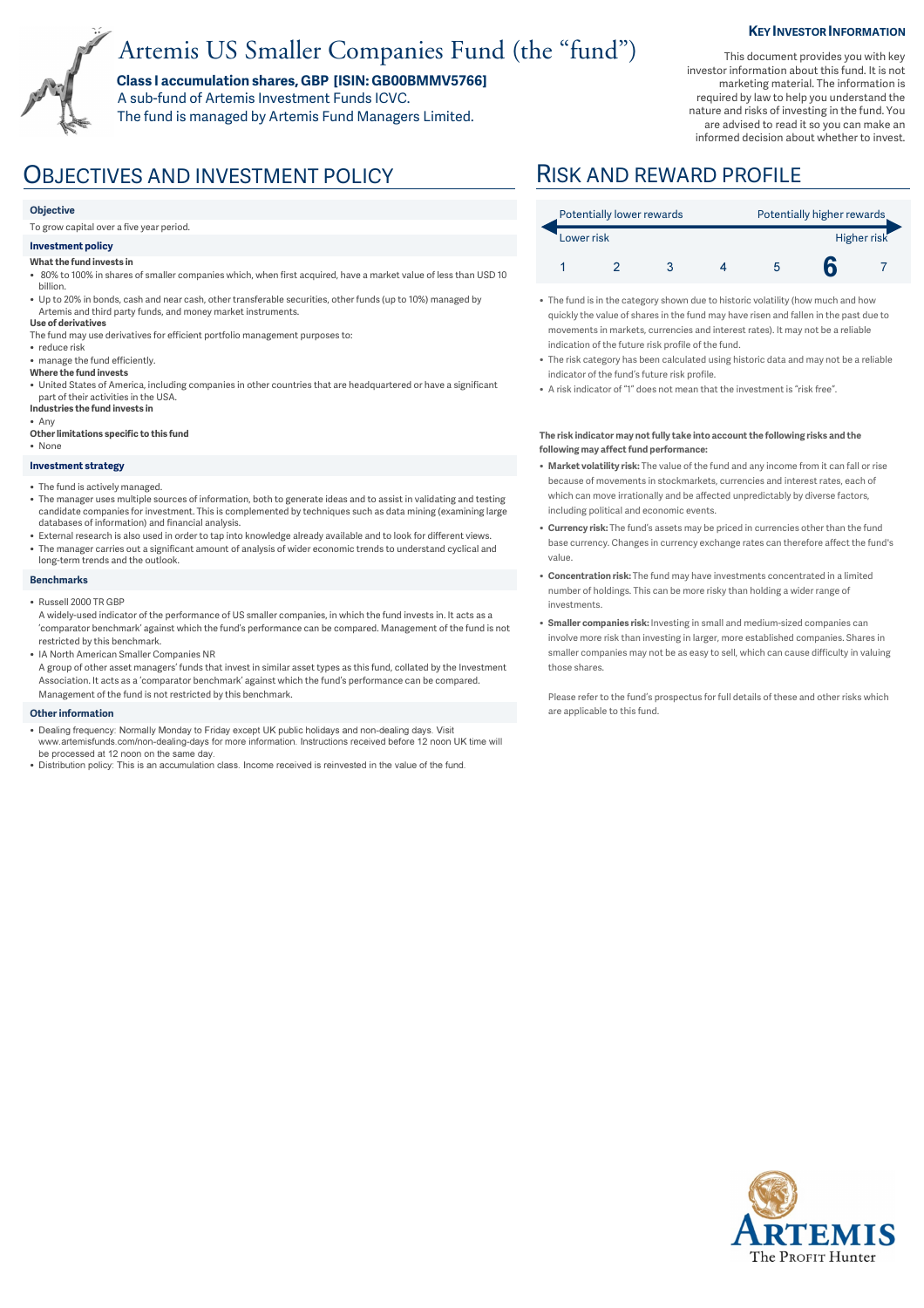# Artemis US Smaller Companies Fund (the "fund")

**Class I accumulation shares, GBP [ISIN: GB00BMMV5766]**  A sub-fund of Artemis Investment Funds ICVC.

The fund is managed by Artemis Fund Managers Limited.

### **KEY INVESTOR INFORMATION**

This document provides you with key investor information about this fund. It is not marketing material. The information is required by law to help you understand the nature and risks of investing in the fund. You are advised to read it so you can make an informed decision about whether to invest.

## OBJECTIVES AND INVESTMENT POLICY RISK AND REWARD PROFILE

#### **Objective**

To grow capital over a five year period.

#### **Investment policy**

- **What the fund invests in**
- 80% to 100% in shares of smaller companies which, when first acquired, have a market value of less than USD 10 billion.
- Up to 20% in bonds, cash and near cash, other transferable securities, other funds (up to 10%) managed by Artemis and third party funds, and money market instruments.
- **Use of derivatives** The fund may use derivatives for efficient portfolio management purposes to:
- 
- reduce risk • manage the fund efficiently.
- **Where the fund invests**
- United States of America, including companies in other countries that are headquartered or have a significant part of their activities in the USA.
- **Industries the fund invests in** • Any
- **Other limitations specific to this fund**
- None

### **Investment strategy**

- The fund is actively managed.
- The manager uses multiple sources of information, both to generate ideas and to assist in validating and testing candidate companies for investment. This is complemented by techniques such as data mining (examining large databases of information) and financial analysis.
- External research is also used in order to tap into knowledge already available and to look for different views. • The manager carries out a significant amount of analysis of wider economic trends to understand cyclical and long-term trends and the outlook.
- **Benchmarks**
- Russell 2000 TR GBP
- A widely-used indicator of the performance of US smaller companies, in which the fund invests in. It acts as a 'comparator benchmark' against which the fund's performance can be compared. Management of the fund is not restricted by this benchmark.
- IA North American Smaller Companies NR

A group of other asset managers' funds that invest in similar asset types as this fund, collated by the Investment Association. It acts as a 'comparator benchmark' against which the fund's performance can be compared. Management of the fund is not restricted by this benchmark.

#### **Other information**

- Dealing frequency: Normally Monday to Friday except UK public holidays and non-dealing days. Visit www.artemisfunds.com/non-dealing-days for more information. Instructions received before 12 noon UK time will be processed at 12 noon on the same day.
- Distribution policy: This is an accumulation class. Income received is reinvested in the value of the fund.

| Potentially lower rewards |  |  |  | Potentially higher rewards |  |  |
|---------------------------|--|--|--|----------------------------|--|--|
| Lower risk                |  |  |  | Higher risk                |  |  |
|                           |  |  |  |                            |  |  |

- The fund is in the category shown due to historic volatility (how much and how quickly the value of shares in the fund may have risen and fallen in the past due to movements in markets, currencies and interest rates). It may not be a reliable indication of the future risk profile of the fund.
- The risk category has been calculated using historic data and may not be a reliable indicator of the fund's future risk profile.
- A risk indicator of "1" does not mean that the investment is "risk free".

#### **The risk indicator may not fully take into account the following risks and the following may affect fund performance:**

- **Market volatility risk:** The value of the fund and any income from it can fall or rise because of movements in stockmarkets, currencies and interest rates, each of which can move irrationally and be affected unpredictably by diverse factors, including political and economic events.
- **Currency risk:** The fund's assets may be priced in currencies other than the fund base currency. Changes in currency exchange rates can therefore affect the fund's value.
- **Concentration risk:** The fund may have investments concentrated in a limited number of holdings. This can be more risky than holding a wider range of investments.
- **Smaller companies risk:** Investing in small and medium-sized companies can involve more risk than investing in larger, more established companies. Shares in smaller companies may not be as easy to sell, which can cause difficulty in valuing those shares.

Please refer to the fund's prospectus for full details of these and other risks which are applicable to this fund.